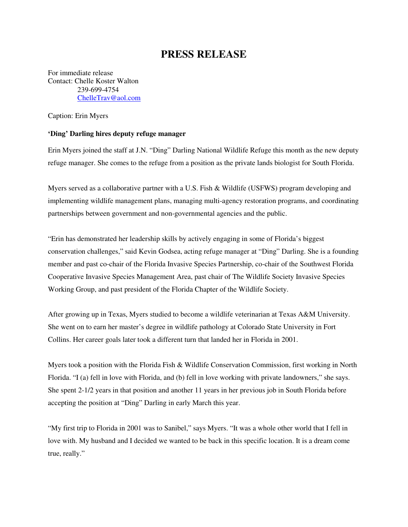## **PRESS RELEASE**

For immediate release Contact: Chelle Koster Walton 239-699-4754 ChelleTrav@aol.com

Caption: Erin Myers

## **'Ding' Darling hires deputy refuge manager**

Erin Myers joined the staff at J.N. "Ding" Darling National Wildlife Refuge this month as the new deputy refuge manager. She comes to the refuge from a position as the private lands biologist for South Florida.

Myers served as a collaborative partner with a U.S. Fish & Wildlife (USFWS) program developing and implementing wildlife management plans, managing multi-agency restoration programs, and coordinating partnerships between government and non-governmental agencies and the public.

"Erin has demonstrated her leadership skills by actively engaging in some of Florida's biggest conservation challenges," said Kevin Godsea, acting refuge manager at "Ding" Darling. She is a founding member and past co-chair of the Florida Invasive Species Partnership, co-chair of the Southwest Florida Cooperative Invasive Species Management Area, past chair of The Wildlife Society Invasive Species Working Group, and past president of the Florida Chapter of the Wildlife Society.

After growing up in Texas, Myers studied to become a wildlife veterinarian at Texas A&M University. She went on to earn her master's degree in wildlife pathology at Colorado State University in Fort Collins. Her career goals later took a different turn that landed her in Florida in 2001.

Myers took a position with the Florida Fish & Wildlife Conservation Commission, first working in North Florida. "I (a) fell in love with Florida, and (b) fell in love working with private landowners," she says. She spent 2-1/2 years in that position and another 11 years in her previous job in South Florida before accepting the position at "Ding" Darling in early March this year.

"My first trip to Florida in 2001 was to Sanibel," says Myers. "It was a whole other world that I fell in love with. My husband and I decided we wanted to be back in this specific location. It is a dream come true, really."